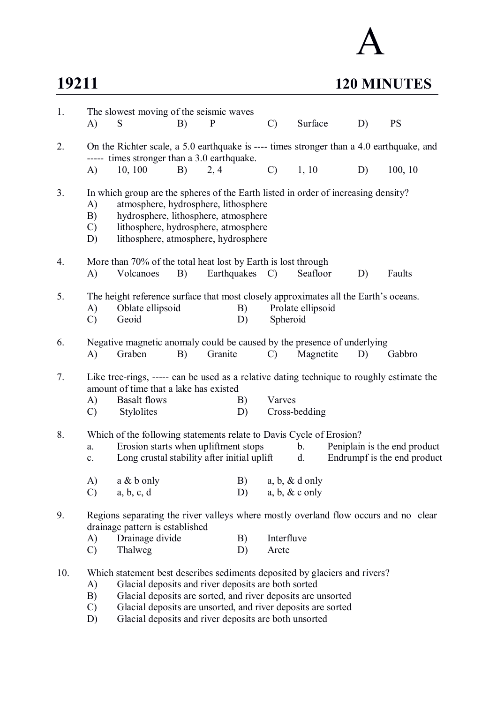# A

## **19211 120 MINUTES**

| 1.  | A)                                          | The slowest moving of the seismic waves<br>S                                                                                                                                                                                                                                                                               | B) | $\mathbf{P}$ | $\mathcal{C}$       | Surface                                                                | D) | <b>PS</b>                                                   |
|-----|---------------------------------------------|----------------------------------------------------------------------------------------------------------------------------------------------------------------------------------------------------------------------------------------------------------------------------------------------------------------------------|----|--------------|---------------------|------------------------------------------------------------------------|----|-------------------------------------------------------------|
| 2.  |                                             | On the Richter scale, a 5.0 earthquake is ---- times stronger than a 4.0 earthquake, and                                                                                                                                                                                                                                   |    |              |                     |                                                                        |    |                                                             |
|     | (A)                                         | ----- times stronger than a 3.0 earthquake.<br>10, 100                                                                                                                                                                                                                                                                     | B) | 2, 4         | $\mathcal{C}$       | 1, 10                                                                  | D) | 100, 10                                                     |
| 3.  | A)<br>B)<br>$\mathcal{C}$<br>D)             | In which group are the spheres of the Earth listed in order of increasing density?<br>atmosphere, hydrosphere, lithosphere<br>hydrosphere, lithosphere, atmosphere<br>lithosphere, hydrosphere, atmosphere<br>lithosphere, atmosphere, hydrosphere                                                                         |    |              |                     |                                                                        |    |                                                             |
| 4.  | A)                                          | More than 70% of the total heat lost by Earth is lost through<br>Volcanoes                                                                                                                                                                                                                                                 | B) | Earthquakes  | $\mathcal{C}$       | Seafloor                                                               | D) | Faults                                                      |
| 5.  | A)<br>$\mathcal{C}$                         | The height reference surface that most closely approximates all the Earth's oceans.<br>Oblate ellipsoid<br>Geoid                                                                                                                                                                                                           |    | B)<br>D)     | Spheroid            | Prolate ellipsoid                                                      |    |                                                             |
| 6.  | A)                                          | Negative magnetic anomaly could be caused by the presence of underlying<br>Graben                                                                                                                                                                                                                                          | B) | Granite      | $\mathcal{C}$       | Magnetite                                                              | D) | Gabbro                                                      |
| 7.  | A)<br>$\mathcal{C}$                         | Like tree-rings, ----- can be used as a relative dating technique to roughly estimate the<br>amount of time that a lake has existed<br><b>Basalt</b> flows<br>Stylolites                                                                                                                                                   |    | B)<br>D)     | Varves              | Cross-bedding                                                          |    |                                                             |
| 8.  | a.<br>$\mathbf{c}$ .<br>A)<br>$\mathcal{C}$ | Which of the following statements relate to Davis Cycle of Erosion?<br>Erosion starts when upliftment stops<br>Long crustal stability after initial uplift<br>$a \& b$ only<br>a, b, c, d                                                                                                                                  |    | B)<br>D)     |                     | $\mathbf{b}$ .<br>d.<br>$a, b, \& d$ only<br>$a, b, \& c \text{ only}$ |    | Peniplain is the end product<br>Endrumpf is the end product |
| 9.  |                                             | Regions separating the river valleys where mostly overland flow occurs and no clear<br>drainage pattern is established                                                                                                                                                                                                     |    |              |                     |                                                                        |    |                                                             |
|     | A)<br>$\mathcal{C}$                         | Drainage divide<br>Thalweg                                                                                                                                                                                                                                                                                                 |    | B)<br>D)     | Interfluve<br>Arete |                                                                        |    |                                                             |
| 10. | A)<br>B)<br>$\mathcal{C}$<br>D)             | Which statement best describes sediments deposited by glaciers and rivers?<br>Glacial deposits and river deposits are both sorted<br>Glacial deposits are sorted, and river deposits are unsorted<br>Glacial deposits are unsorted, and river deposits are sorted<br>Glacial deposits and river deposits are both unsorted |    |              |                     |                                                                        |    |                                                             |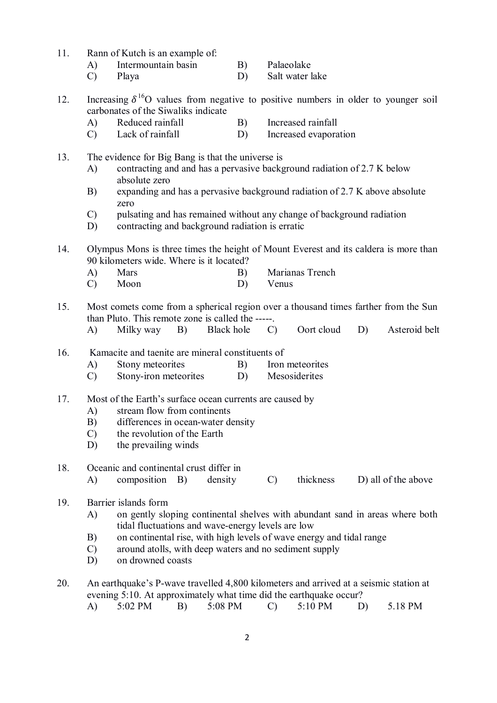- 11. Rann of Kutch is an example of:
	- A) Intermountain basin B) Palaeolake
	- C) Playa D) Salt water lake
- 12. Increasing  $\delta^{16}O$  values from negative to positive numbers in older to younger soil carbonates of the Siwaliks indicate
	- A) Reduced rainfall B) Increased rainfall
	- C) Lack of rainfall D) Increased evaporation
- 13. The evidence for Big Bang is that the universe is
	- A) contracting and and has a pervasive background radiation of 2.7 K below absolute zero
	- B) expanding and has a pervasive background radiation of 2.7 K above absolute zero
	- C) pulsating and has remained without any change of background radiation
	- D) contracting and background radiation is erratic
- 14. Olympus Mons is three times the height of Mount Everest and its caldera is more than 90 kilometers wide. Where is it located?
	- A) Mars B) Marianas Trench
	- C) Moon D) Venus
- 15. Most comets come from a spherical region over a thousand times farther from the Sun than Pluto. This remote zone is called the -----.
	- A) Milky way B) Black hole C) Oort cloud D) Asteroid belt
- 16. Kamacite and taenite are mineral constituents of
	- A) Stony meteorites B) Iron meteorites
	- C) Stony-iron meteorites D) Mesosiderites
- 17. Most of the Earth's surface ocean currents are caused by
	- A) stream flow from continents
	- B) differences in ocean-water density
	- C) the revolution of the Earth
	- D) the prevailing winds
- 18. Oceanic and continental crust differ in
	- A) composition B) density C) thickness D) all of the above
- 19. Barrier islands form
	- A) on gently sloping continental shelves with abundant sand in areas where both tidal fluctuations and wave-energy levels are low
	- B) on continental rise, with high levels of wave energy and tidal range
	- C) around atolls, with deep waters and no sediment supply
	- D) on drowned coasts
- 20. An earthquake's P-wave travelled 4,800 kilometers and arrived at a seismic station at evening 5:10. At approximately what time did the earthquake occur?
	- A) 5:02 PM B) 5:08 PM C) 5:10 PM D) 5.18 PM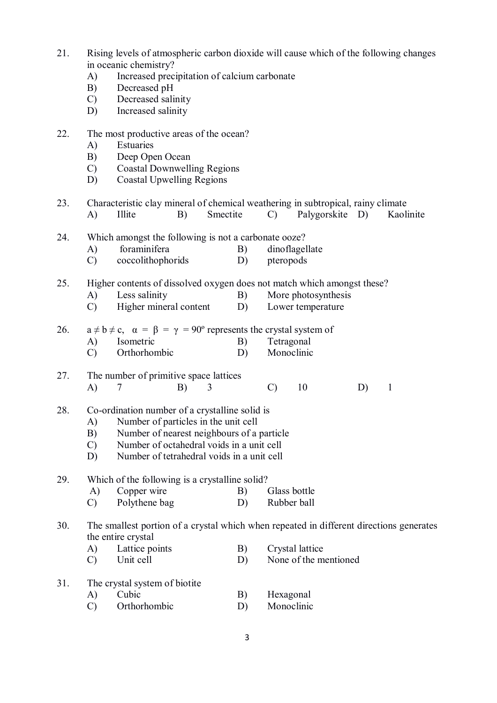- 21. Rising levels of atmospheric carbon dioxide will cause which of the following changes in oceanic chemistry?
	- A) Increased precipitation of calcium carbonate
	- B) Decreased pH
	- C) Decreased salinity
	- D) Increased salinity
- 22. The most productive areas of the ocean?
	- A) Estuaries
	- B) Deep Open Ocean
	- C) Coastal Downwelling Regions
	- D) Coastal Upwelling Regions
- 23. Characteristic clay mineral of chemical weathering in subtropical, rainy climate A) Illite B) Smectite C) Palygorskite D) Kaolinite
- 24. Which amongst the following is not a carbonate ooze?
	- A) foraminifera B) dinoflagellate
	- C) coccolithophorids D) pteropods

25. Higher contents of dissolved oxygen does not match which amongst these?

- A) Less salinity B) More photosynthesis<br>
C) Higher mineral content D) Lower temperature
- $(C)$  Higher mineral content  $(D)$
- 26.  $a \ne b \ne c$ ,  $\alpha = \beta = \gamma = 90^{\circ}$  represents the crystal system of
	- A) Isometric B) Tetragonal<br>
	C) Orthorhombic D) Monoclinic
	- $\text{C)}$  Orthorhombic D)

#### 27. The number of primitive space lattices A) 7 B) 3 C) 10 D) 1

- 28. Co-ordination number of a crystalline solid is
	- A) Number of particles in the unit cell
	- B) Number of nearest neighbours of a particle
	- C) Number of octahedral voids in a unit cell
	- D) Number of tetrahedral voids in a unit cell
- 29. Which of the following is a crystalline solid?<br>
A) Copper wire B) Glass bottle
	- $Co<sub>po</sub>$  copper wire B)
	- C) Polythene bag D) Rubber ball

#### 30. The smallest portion of a crystal which when repeated in different directions generates the entire crystal

- A) Lattice points B) Crystal lattice
- C) Unit cell D) None of the mentioned

| 31. | The crystal system of biotite |            |
|-----|-------------------------------|------------|
|     | Cubic                         | Hexagonal  |
|     | Orthorhombic                  | Monoclinic |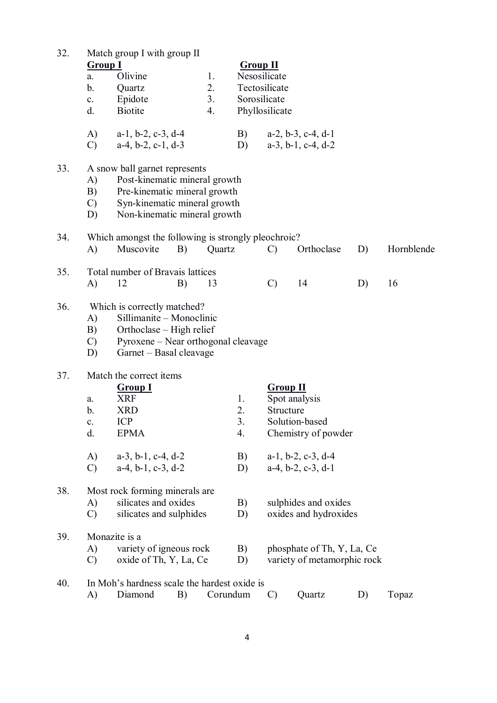| 32. | <b>Group I</b><br>a.<br>b.<br>$\mathbf{c}$ .<br>d. | Match group I with group II<br>Olivine<br>Quartz<br>Epidote<br><b>Biotite</b>                                                                                  | 1.<br>2.<br>3 <sub>1</sub><br>4. | $Group$ $II$         | Nesosilicate<br>Tectosilicate<br>Sorosilicate<br>Phyllosilicate |                                                                |    |            |
|-----|----------------------------------------------------|----------------------------------------------------------------------------------------------------------------------------------------------------------------|----------------------------------|----------------------|-----------------------------------------------------------------|----------------------------------------------------------------|----|------------|
|     | A)<br>$\mathcal{C}$                                | $a-1$ , $b-2$ , $c-3$ , $d-4$<br>$a-4$ , $b-2$ , $c-1$ , $d-3$                                                                                                 |                                  | B)<br>D)             |                                                                 | $a-2$ , $b-3$ , $c-4$ , $d-1$<br>$a-3$ , $b-1$ , $c-4$ , $d-2$ |    |            |
| 33. | A)<br>B)<br>$\mathcal{C}$<br>D)                    | A snow ball garnet represents<br>Post-kinematic mineral growth<br>Pre-kinematic mineral growth<br>Syn-kinematic mineral growth<br>Non-kinematic mineral growth |                                  |                      |                                                                 |                                                                |    |            |
| 34. | A)                                                 | Which amongst the following is strongly pleochroic?<br>Muscovite                                                                                               | B)<br>Quartz                     |                      | $\mathcal{C}$                                                   | Orthoclase                                                     | D) | Hornblende |
| 35. | A)                                                 | Total number of Bravais lattices<br>12                                                                                                                         | 13<br>B)                         |                      | $\mathcal{C}$                                                   | 14                                                             | D) | 16         |
| 36. | A)<br>B)<br>$\mathcal{C}$<br>D)                    | Which is correctly matched?<br>Sillimanite - Monoclinic<br>Orthoclase – High relief<br>Pyroxene – Near orthogonal cleavage<br>Garnet – Basal cleavage          |                                  |                      |                                                                 |                                                                |    |            |
| 37. | a.<br>b.<br>$\mathbf{c}.$<br>d.                    | Match the correct items<br><b>Group I</b><br><b>XRF</b><br><b>XRD</b><br><b>ICP</b><br><b>EPMA</b>                                                             |                                  | 1.<br>2.<br>3.<br>4. | <b>Group II</b><br>Structure                                    | Spot analysis<br>Solution-based<br>Chemistry of powder         |    |            |
|     | A)<br>$\mathcal{C}$                                | $a-3$ , $b-1$ , $c-4$ , $d-2$<br>$a-4$ , $b-1$ , $c-3$ , $d-2$                                                                                                 |                                  | B)<br>D)             |                                                                 | $a-1$ , $b-2$ , $c-3$ , $d-4$<br>$a-4$ , $b-2$ , $c-3$ , $d-1$ |    |            |
| 38. | A)<br>$\mathcal{C}$                                | Most rock forming minerals are<br>silicates and oxides<br>silicates and sulphides                                                                              |                                  | B)<br>D)             |                                                                 | sulphides and oxides<br>oxides and hydroxides                  |    |            |
| 39. | A)<br>$\mathcal{C}$                                | Monazite is a<br>variety of igneous rock<br>oxide of Th, Y, La, Ce                                                                                             |                                  | B)<br>D)             |                                                                 | phosphate of Th, Y, La, Ce<br>variety of metamorphic rock      |    |            |
| 40. | A)                                                 | In Moh's hardness scale the hardest oxide is<br>Diamond                                                                                                        | B)                               | Corundum             | $\mathcal{C}$                                                   | Quartz                                                         | D) | Topaz      |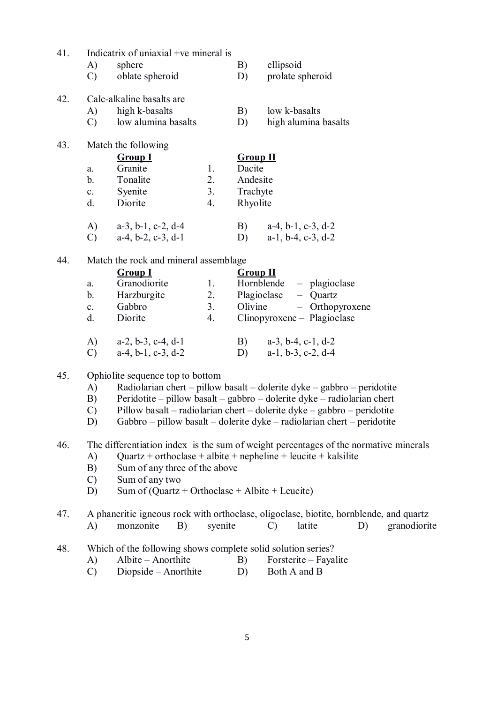| 41. | Indicatrix of uniaxial +ve mineral is<br>A)<br>sphere<br>$\mathcal{C}$<br>oblate spheroid                                                                                                                                                                        | ellipsoid<br>B)<br>prolate spheroid<br>D)                                                                                                                                                                                                                                                                |
|-----|------------------------------------------------------------------------------------------------------------------------------------------------------------------------------------------------------------------------------------------------------------------|----------------------------------------------------------------------------------------------------------------------------------------------------------------------------------------------------------------------------------------------------------------------------------------------------------|
| 42. | Calc-alkaline basalts are<br>high k-basalts<br>A)<br>low alumina basalts<br>$\mathcal{C}$                                                                                                                                                                        | B)<br>low k-basalts<br>high alumina basalts<br>D)                                                                                                                                                                                                                                                        |
| 43. | Match the following<br><b>Group I</b><br>Granite<br>1.<br>a.<br>Tonalite<br>2.<br>b.<br>3.<br>Syenite<br>$\mathbf{c}$ .<br>Diorite<br>4.<br>d.<br>$\mathbf{A}$<br>$a-3$ , $b-1$ , $c-2$ , $d-4$<br>$\mathcal{C}$<br>$a-4, b-2, c-3, d-1$                         | <b>Group II</b><br>Dacite<br>Andesite<br>Trachyte<br>Rhyolite<br>B)<br>$a-4$ , $b-1$ , $c-3$ , $d-2$<br>$a-1$ , $b-4$ , $c-3$ , $d-2$<br>D)                                                                                                                                                              |
| 44. | Match the rock and mineral assemblage<br><b>Group I</b><br>Granodiorite<br>1.<br>a.<br>Harzburgite<br>2.<br>b.<br>3.<br>Gabbro<br>$\mathbf{c}$ .<br>Diorite<br>4.<br>d.<br>A)<br>$a-2$ , $b-3$ , $c-4$ , $d-1$<br>$a-4$ , $b-1$ , $c-3$ , $d-2$<br>$\mathcal{C}$ | <b>Group II</b><br>Hornblende<br>- plagioclase<br>Plagioclase<br>$-$ Quartz<br>- Orthopyroxene<br>Olivine<br>Clinopyroxene – Plagioclase<br>B) $a-3, b-4, c-1, d-2$<br>$a-1$ , $b-3$ , $c-2$ , $d-4$<br>D)                                                                                               |
| 45. | Ophiolite sequence top to bottom<br>A)<br>B)<br>$\mathcal{C}$<br>D)                                                                                                                                                                                              | Radiolarian chert – pillow basalt – dolerite dyke – gabbro – peridotite<br>Peridotite – pillow basalt – gabbro – dolerite dyke – radiolarian chert<br>Pillow basalt – radiolarian chert – dolerite dyke – gabbro – peridotite<br>Gabbro – pillow basalt – dolerite dyke – radiolarian chert – peridotite |
| 46. | A)<br>Sum of any three of the above<br>B)<br>Sum of any two<br>$\mathcal{C}$<br>Sum of $(Quartz + Orthoclase + Albite + Leucite)$<br>D)                                                                                                                          | The differentiation index is the sum of weight percentages of the normative minerals<br>Quartz + orthoclase + albite + nepheline + leucite + kalsilite                                                                                                                                                   |
| 47. | $\bf{A}$<br>monzonite<br>syenite<br>B)                                                                                                                                                                                                                           | A phaneritic igneous rock with orthoclase, oligoclase, biotite, hornblende, and quartz<br>latite<br>D)<br>granodiorite<br>$\mathcal{C}$                                                                                                                                                                  |
| 48. | Which of the following shows complete solid solution series?<br>Albite - Anorthite<br>A)                                                                                                                                                                         | Forsterite – Fayalite<br>B)                                                                                                                                                                                                                                                                              |

 $\overrightarrow{C}$  Diopside – Anorthite D) Both A and B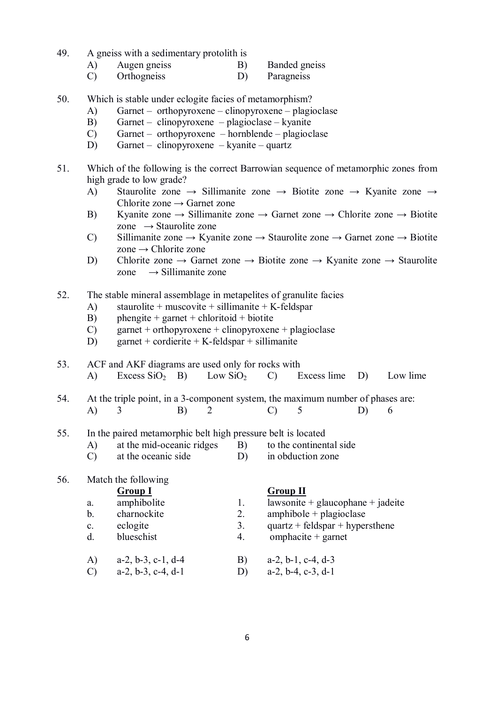- 49. A gneiss with a sedimentary protolith is
	- A) Augen gneiss B) Banded gneiss
	- C) Orthogneiss D) Paragneiss
- 50. Which is stable under eclogite facies of metamorphism?
	- A) Garnet orthopyroxene clinopyroxene plagioclase
	- B) Garnet clinopyroxene plagioclase kyanite
	- C) Garnet orthopyroxene hornblende plagioclase
	- D) Garnet clinopyroxene kyanite quartz
- 51. Which of the following is the correct Barrowian sequence of metamorphic zones from high grade to low grade?
	- A) Staurolite zone  $\rightarrow$  Sillimanite zone  $\rightarrow$  Biotite zone  $\rightarrow$  Kyanite zone  $\rightarrow$ Chlorite zone → Garnet zone
	- B) Kyanite zone  $\rightarrow$  Sillimanite zone  $\rightarrow$  Garnet zone  $\rightarrow$  Chlorite zone  $\rightarrow$  Biotite zone  $\rightarrow$  Staurolite zone
	- C) Sillimanite zone  $\rightarrow$  Kyanite zone  $\rightarrow$  Staurolite zone  $\rightarrow$  Garnet zone  $\rightarrow$  Biotite  $zone \rightarrow Chlorite zone$
	- D) Chlorite zone  $\rightarrow$  Garnet zone  $\rightarrow$  Biotite zone  $\rightarrow$  Kyanite zone  $\rightarrow$  Staurolite zone  $\rightarrow$  Sillimanite zone
- 52. The stable mineral assemblage in metapelites of granulite facies
	- A) staurolite + muscovite + sillimanite + K-feldspar
	- B) phengite + garnet + chloritoid + biotite
	- C) garnet + orthopyroxene + clinopyroxene + plagioclase
	- D) garnet + cordierite + K-feldspar + sillimanite

#### 53. ACF and AKF diagrams are used only for rocks with

- A) Excess  $SiO<sub>2</sub>$  B) Low  $SiO<sub>2</sub>$  C) Excess lime D) Low lime
- 54. At the triple point, in a 3-component system, the maximum number of phases are: A) 3 B) 2 C) 5 D) 6
- 55. In the paired metamorphic belt high pressure belt is located
	- A) at the mid-oceanic ridges B) to the continental side
	- C) at the oceanic side D) in obduction zone

### 56. Match the following

**Group I Group II**

- a. amphibolite 1. lawsonite + glaucophane + jadeite
	-
- 
- 
- b. charnockite 2. amphibole + plagioclase
- c. eclogite  $\frac{3}{2}$  quartz + feldspar + hypersthene
- d. blueschist 4. omphacite + garnet
- A) a-2, b-3, c-1, d-4 B) a-2, b-1, c-4, d-3
- C) a-2, b-3, c-4, d-1 D) a-2, b-4, c-3, d-1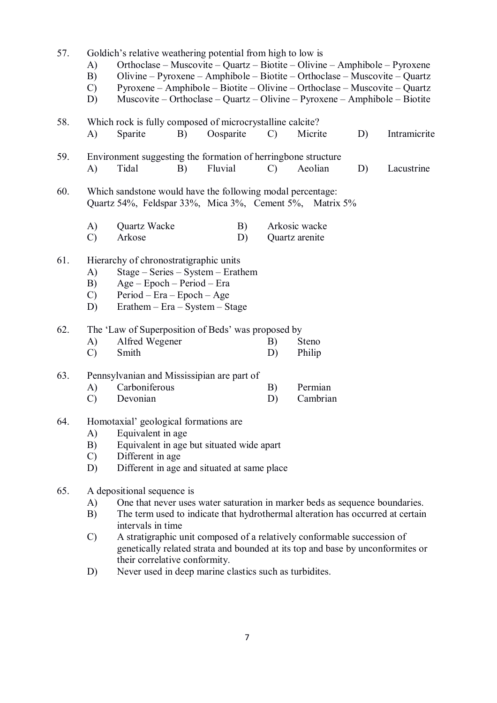| 57. | Goldich's relative weathering potential from high to low is<br>Orthoclase – Muscovite – Quartz – Biotite – Olivine – Amphibole – Pyroxene<br>A)<br>Olivine – Pyroxene – Amphibole – Biotite – Orthoclase – Muscovite – Quartz<br>B)<br>Pyroxene – Amphibole – Biotite – Olivine – Orthoclase – Muscovite – Quartz<br>$\mathcal{C}$<br>Muscovite – Orthoclase – Quartz – Olivine – Pyroxene – Amphibole – Biotite<br>D) |  |  |  |  |  |  |
|-----|------------------------------------------------------------------------------------------------------------------------------------------------------------------------------------------------------------------------------------------------------------------------------------------------------------------------------------------------------------------------------------------------------------------------|--|--|--|--|--|--|
| 58. | Which rock is fully composed of microcrystalline calcite?<br>Oosparite<br>Sparite<br>Micrite<br>D)<br>Intramicrite<br>A)<br>B)<br>$\mathcal{C}$                                                                                                                                                                                                                                                                        |  |  |  |  |  |  |
| 59. | Environment suggesting the formation of herringbone structure<br>Tidal<br>Fluvial<br>$\mathbf{A}$<br>$\mathcal{C}$<br>Aeolian<br>Lacustrine<br>B)<br>D)                                                                                                                                                                                                                                                                |  |  |  |  |  |  |
| 60. | Which sandstone would have the following modal percentage:<br>Quartz 54%, Feldspar 33%, Mica 3%, Cement 5%, Matrix 5%                                                                                                                                                                                                                                                                                                  |  |  |  |  |  |  |
|     | Arkosic wacke<br>$\mathbf{A}$<br>Quartz Wacke<br>B)<br>Arkose<br>$\mathcal{C}$<br>D)<br>Quartz arenite                                                                                                                                                                                                                                                                                                                 |  |  |  |  |  |  |
| 61. | Hierarchy of chronostratigraphic units<br>Stage - Series - System - Erathem<br>$\mathbf{A}$<br>$Age - Epoch - Period - Era$<br>B)<br>$Period - Era - Epoch - Age$<br>$\mathcal{C}$<br>$E$ rathem – $E$ ra – System – Stage<br>D)                                                                                                                                                                                       |  |  |  |  |  |  |
| 62. | The 'Law of Superposition of Beds' was proposed by<br>Alfred Wegener<br>$\mathbf{A}$<br>B)<br>Steno<br>Smith<br>$\mathcal{C}$<br>D)<br>Philip                                                                                                                                                                                                                                                                          |  |  |  |  |  |  |
| 63. | Pennsylvanian and Mississipian are part of<br>Carboniferous<br>$\mathbf{A}$<br>Permian<br>B)<br>Cambrian<br>$\mathcal{C}$<br>Devonian<br>D)                                                                                                                                                                                                                                                                            |  |  |  |  |  |  |
| 64. | Homotaxial' geological formations are<br>Equivalent in age<br>A)<br>Equivalent in age but situated wide apart<br>B)<br>Different in age<br>$\mathcal{C}$<br>D)<br>Different in age and situated at same place                                                                                                                                                                                                          |  |  |  |  |  |  |
| 65. | A depositional sequence is<br>One that never uses water saturation in marker beds as sequence boundaries.<br>A)<br>The term used to indicate that hydrothermal alteration has occurred at certain<br>B)<br>intervals in time                                                                                                                                                                                           |  |  |  |  |  |  |
|     | A stratigraphic unit composed of a relatively conformable succession of<br>$\mathcal{C}$<br>genetically related strata and bounded at its top and base by unconformites or<br>their correlative conformity.                                                                                                                                                                                                            |  |  |  |  |  |  |

D) Never used in deep marine clastics such as turbidites.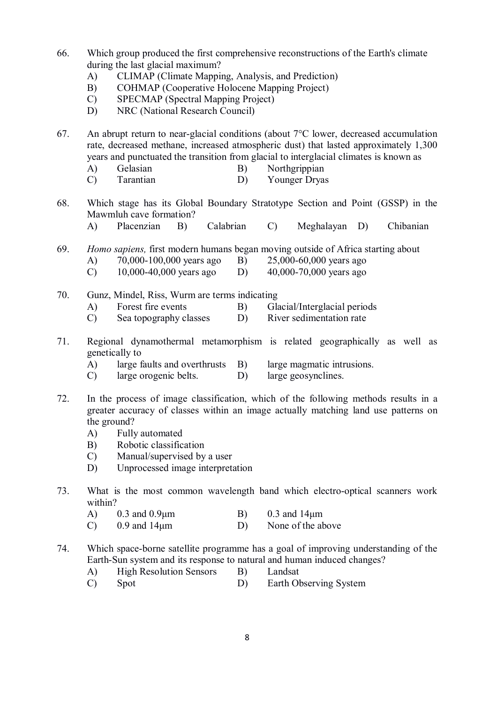- 66. Which group produced the first comprehensive reconstructions of the Earth's climate during the last glacial maximum?
	- A) CLIMAP (Climate Mapping, Analysis, and Prediction)
	- B) COHMAP (Cooperative Holocene Mapping Project)
	- C) SPECMAP (Spectral Mapping Project)
	- D) NRC (National Research Council)

67. An abrupt return to near-glacial conditions (about 7°C lower, decreased accumulation rate, decreased methane, increased atmospheric dust) that lasted approximately 1,300 years and punctuated the transition from glacial to interglacial climates is known as

- A) Gelasian B) Northgrippian
- C) Tarantian D) Younger Dryas
- 68. Which stage has its Global Boundary Stratotype Section and Point (GSSP) in the Mawmluh cave formation?
	- A) Placenzian B) Calabrian C) Meghalayan D) Chibanian
- 69. *Homo sapiens,* first modern humans began moving outside of Africa starting about A) 70,000-100,000 years ago B) 25,000-60,000 years ago
	- C)  $10,000-40,000$  years ago D)  $40,000-70,000$  years ago
- 70. Gunz, Mindel, Riss, Wurm are terms indicating
	- A) Forest fire events B) Glacial/Interglacial periods
	- C) Sea topography classes D) River sedimentation rate
- 71. Regional dynamothermal metamorphism is related geographically as well as genetically to
	- A) large faults and overthrusts B) large magmatic intrusions.
	- C) large orogenic belts. D) large geosynclines.
- 72. In the process of image classification, which of the following methods results in a greater accuracy of classes within an image actually matching land use patterns on the ground?
	- A) Fully automated
	- B) Robotic classification
	- C) Manual/supervised by a user
	- D) Unprocessed image interpretation
- 73. What is the most common wavelength band which electro-optical scanners work within?
	- A)  $0.3$  and  $0.9\mu$ m B)  $0.3$  and  $14\mu$ m
	- C) 0.9 and 14μm D) None of the above
- 74. Which space-borne satellite programme has a goal of improving understanding of the Earth-Sun system and its response to natural and human induced changes?
	- A) High Resolution Sensors B) Landsat
	- C) Spot D) Earth Observing System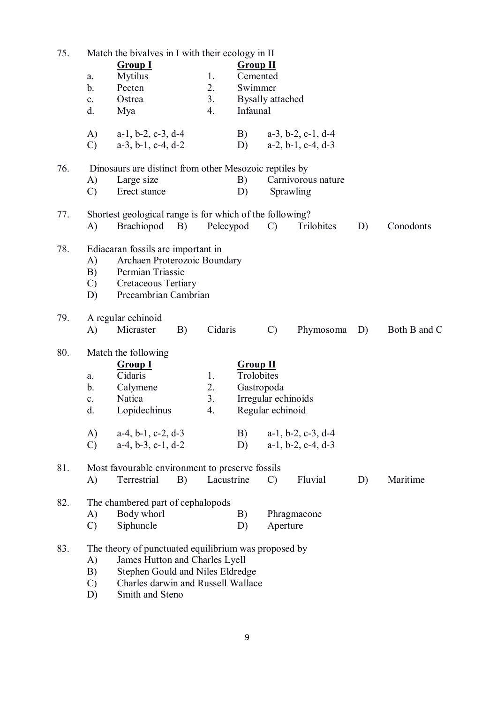| 75. | Match the bivalves in I with their ecology in II |                                                          |    |            |                     |                         |                               |    |              |  |  |  |
|-----|--------------------------------------------------|----------------------------------------------------------|----|------------|---------------------|-------------------------|-------------------------------|----|--------------|--|--|--|
|     |                                                  | <b>Group I</b>                                           |    |            |                     | <b>Group II</b>         |                               |    |              |  |  |  |
|     | a.                                               | <b>Mytilus</b>                                           |    | 1.         | Cemented            |                         |                               |    |              |  |  |  |
|     | b.                                               | Pecten                                                   |    | 2.         | Swimmer             |                         |                               |    |              |  |  |  |
|     | c.                                               | Ostrea                                                   |    | 3.         |                     | <b>Bysally attached</b> |                               |    |              |  |  |  |
|     | d.                                               | Mya                                                      |    | 4.         | Infaunal            |                         |                               |    |              |  |  |  |
|     | A)                                               | $a-1$ , $b-2$ , $c-3$ , $d-4$                            |    |            | B)                  |                         | $a-3$ , $b-2$ , $c-1$ , $d-4$ |    |              |  |  |  |
|     | $\mathcal{C}$                                    | $a-3$ , $b-1$ , $c-4$ , $d-2$                            |    |            | D)                  |                         | $a-2$ , $b-1$ , $c-4$ , $d-3$ |    |              |  |  |  |
| 76. |                                                  | Dinosaurs are distinct from other Mesozoic reptiles by   |    |            |                     |                         |                               |    |              |  |  |  |
|     | A)                                               | Large size                                               |    |            | B)                  |                         | Carnivorous nature            |    |              |  |  |  |
|     | $\mathcal{C}$                                    | Erect stance                                             |    |            | D)<br>Sprawling     |                         |                               |    |              |  |  |  |
| 77. |                                                  | Shortest geological range is for which of the following? |    |            |                     |                         |                               |    |              |  |  |  |
|     | A)                                               | Brachiopod B)                                            |    | Pelecypod  |                     | $\mathcal{C}$           | Trilobites                    | D) | Conodonts    |  |  |  |
| 78. |                                                  | Ediacaran fossils are important in                       |    |            |                     |                         |                               |    |              |  |  |  |
|     | A)                                               | Archaen Proterozoic Boundary                             |    |            |                     |                         |                               |    |              |  |  |  |
|     | B)                                               | Permian Triassic                                         |    |            |                     |                         |                               |    |              |  |  |  |
|     | $\mathcal{C}$                                    | <b>Cretaceous Tertiary</b>                               |    |            |                     |                         |                               |    |              |  |  |  |
|     | D)                                               | Precambrian Cambrian                                     |    |            |                     |                         |                               |    |              |  |  |  |
| 79. |                                                  | A regular echinoid                                       |    |            |                     |                         |                               |    |              |  |  |  |
|     | A)                                               | Micraster                                                | B) | Cidaris    |                     | $\mathcal{C}$           | Phymosoma                     | D) | Both B and C |  |  |  |
| 80. |                                                  | Match the following                                      |    |            |                     |                         |                               |    |              |  |  |  |
|     |                                                  | <b>Group I</b>                                           |    |            | <b>Group II</b>     |                         |                               |    |              |  |  |  |
|     | a.                                               | Cidaris                                                  |    | 1.         | Trolobites          |                         |                               |    |              |  |  |  |
|     | b.                                               | Calymene                                                 |    | 2.         |                     | Gastropoda              |                               |    |              |  |  |  |
|     | $\mathbf{c}$ .                                   | Natica                                                   |    | 3.         | Irregular echinoids |                         |                               |    |              |  |  |  |
|     | d.                                               | Lopidechinus                                             |    | 4.         | Regular echinoid    |                         |                               |    |              |  |  |  |
|     | (A)                                              | $a-4$ , $b-1$ , $c-2$ , $d-3$                            |    |            | B)                  |                         | $a-1$ , $b-2$ , $c-3$ , $d-4$ |    |              |  |  |  |
|     | $\mathcal{C}$                                    | $a-4, b-3, c-1, d-2$                                     |    |            | D)                  |                         | $a-1$ , $b-2$ , $c-4$ , $d-3$ |    |              |  |  |  |
| 81. |                                                  | Most favourable environment to preserve fossils          |    |            |                     |                         |                               |    |              |  |  |  |
|     | A)                                               | Terrestrial                                              | B) | Lacustrine |                     | $\mathcal{C}$           | Fluvial                       | D) | Maritime     |  |  |  |
| 82. |                                                  | The chambered part of cephalopods                        |    |            |                     |                         |                               |    |              |  |  |  |
|     | A)                                               | Body whorl                                               |    |            | B)                  |                         | Phragmacone                   |    |              |  |  |  |
|     | $\mathcal{C}$                                    | Siphuncle                                                |    |            | D)                  | Aperture                |                               |    |              |  |  |  |
| 83. |                                                  | The theory of punctuated equilibrium was proposed by     |    |            |                     |                         |                               |    |              |  |  |  |
|     | A)                                               | James Hutton and Charles Lyell                           |    |            |                     |                         |                               |    |              |  |  |  |
|     | B)                                               | Stephen Gould and Niles Eldredge                         |    |            |                     |                         |                               |    |              |  |  |  |
|     | $\mathcal{C}$                                    | Charles darwin and Russell Wallace                       |    |            |                     |                         |                               |    |              |  |  |  |
|     | D)                                               | Smith and Steno                                          |    |            |                     |                         |                               |    |              |  |  |  |

9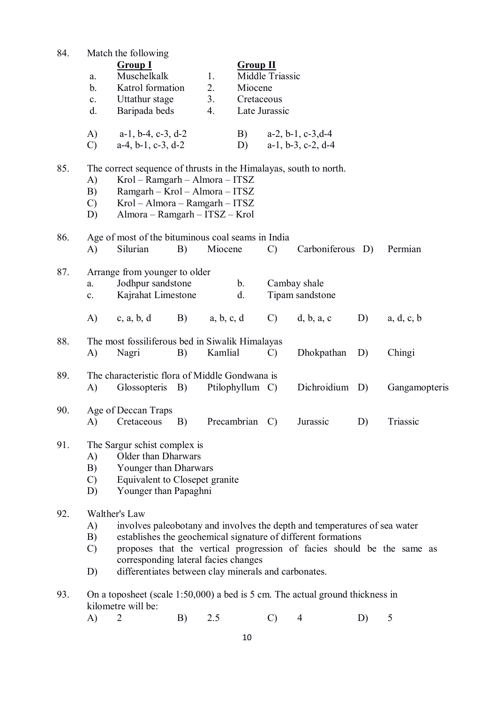| 84. | a.<br>b.<br>$\mathbf{c}$ .<br>d. | Match the following<br><b>Group I</b><br>Muschelkalk<br>Katrol formation<br>Uttathur stage<br>Baripada beds                                                                                               |    | 1.<br>2.<br>3.<br>4. | <b>Group II</b><br>Miocene<br>Cretaceous | Middle Triassic<br>Late Jurassic |                                                                                                                                                                                                                      |    |               |
|-----|----------------------------------|-----------------------------------------------------------------------------------------------------------------------------------------------------------------------------------------------------------|----|----------------------|------------------------------------------|----------------------------------|----------------------------------------------------------------------------------------------------------------------------------------------------------------------------------------------------------------------|----|---------------|
|     | A)<br>$\mathcal{C}$              | $a-1$ , $b-4$ , $c-3$ , $d-2$<br>$a-4$ , $b-1$ , $c-3$ , $d-2$                                                                                                                                            |    |                      | B)<br>D)                                 |                                  | $a-2$ , $b-1$ , $c-3$ , $d-4$<br>$a-1$ , $b-3$ , $c-2$ , $d-4$                                                                                                                                                       |    |               |
| 85. | A)<br>B)<br>$\mathcal{C}$<br>D)  | The correct sequence of thrusts in the Himalayas, south to north.<br>Krol - Ramgarh - Almora - ITSZ<br>Ramgarh - Krol - Almora - ITSZ<br>Krol - Almora - Ramgarh - ITSZ<br>Almora - Ramgarh - ITSZ - Krol |    |                      |                                          |                                  |                                                                                                                                                                                                                      |    |               |
| 86. | A)                               | Age of most of the bituminous coal seams in India<br>Silurian                                                                                                                                             | B) | Miocene              |                                          | $\mathcal{C}$                    | Carboniferous D)                                                                                                                                                                                                     |    | Permian       |
| 87. | a.<br>c.                         | Arrange from younger to older<br>Jodhpur sandstone<br>Kajrahat Limestone                                                                                                                                  |    |                      | $\mathbf b$ .<br>d.                      |                                  | Cambay shale<br>Tipam sandstone                                                                                                                                                                                      |    |               |
|     | A)                               | c, a, b, d                                                                                                                                                                                                |    | $B)$ a, b, c, d      |                                          | $\mathcal{C}$ )                  | d, b, a, c                                                                                                                                                                                                           | D) | a, d, c, b    |
| 88. | A)                               | The most fossiliferous bed in Siwalik Himalayas<br>Nagri                                                                                                                                                  | B) | Kamlial              |                                          | $\mathcal{C}$                    | Dhokpathan                                                                                                                                                                                                           | D) | Chingi        |
| 89. | $\bf{A}$                         | The characteristic flora of Middle Gondwana is<br>Glossopteris B)                                                                                                                                         |    |                      | Ptilophyllum C)                          |                                  | Dichroidium D)                                                                                                                                                                                                       |    | Gangamopteris |
| 90. | A)                               | Age of Deccan Traps<br>Cretaceous                                                                                                                                                                         | B) |                      | Precambrian                              | $\mathcal{C}$                    | Jurassic                                                                                                                                                                                                             | D) | Triassic      |
| 91. | A)<br>B)<br>$\mathcal{C}$<br>D)  | The Sargur schist complex is<br>Older than Dharwars<br>Younger than Dharwars<br>Equivalent to Closepet granite<br>Younger than Papaghni                                                                   |    |                      |                                          |                                  |                                                                                                                                                                                                                      |    |               |
| 92. | A)<br>B)<br>$\mathcal{C}$<br>D)  | Walther's Law<br>corresponding lateral facies changes<br>differentiates between clay minerals and carbonates.                                                                                             |    |                      |                                          |                                  | involves paleobotany and involves the depth and temperatures of sea water<br>establishes the geochemical signature of different formations<br>proposes that the vertical progression of facies should be the same as |    |               |
| 93. |                                  | On a toposheet (scale $1:50,000$ ) a bed is 5 cm. The actual ground thickness in<br>kilometre will be:                                                                                                    | D) |                      |                                          |                                  |                                                                                                                                                                                                                      |    |               |

A) 2 B) 2.5 C) 4 D) 5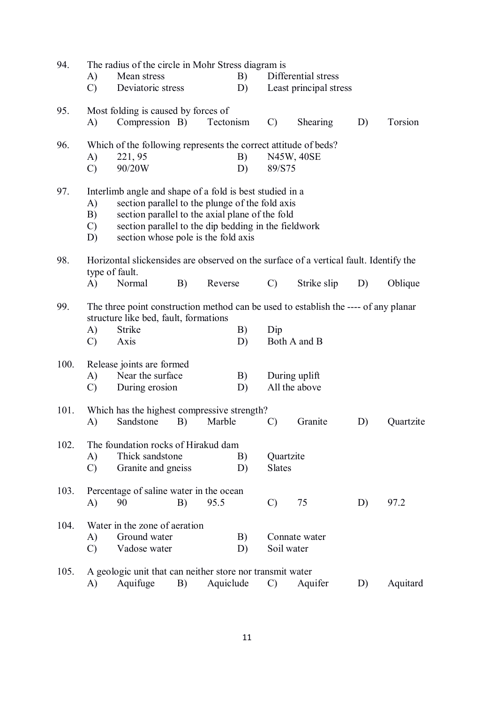| 94.  | The radius of the circle in Mohr Stress diagram is |                                                                                                                                                                                                                                                               |    |           |          |                            |                                |    |           |  |
|------|----------------------------------------------------|---------------------------------------------------------------------------------------------------------------------------------------------------------------------------------------------------------------------------------------------------------------|----|-----------|----------|----------------------------|--------------------------------|----|-----------|--|
|      | A)                                                 | Mean stress                                                                                                                                                                                                                                                   |    |           | B)       |                            | Differential stress            |    |           |  |
|      | $\mathcal{C}$                                      | Deviatoric stress                                                                                                                                                                                                                                             |    |           | D)       |                            | Least principal stress         |    |           |  |
| 95.  | A)                                                 | Most folding is caused by forces of<br>Compression B)                                                                                                                                                                                                         |    | Tectonism |          | $\mathcal{C}$              | Shearing                       | D) | Torsion   |  |
| 96.  | A)<br>$\mathcal{C}$                                | Which of the following represents the correct attitude of beds?<br>221, 95<br>90/20W                                                                                                                                                                          |    |           | B)<br>D) | 89/S75                     | N45W, 40SE                     |    |           |  |
| 97.  | $\mathbf{A}$<br>B)<br>$\mathcal{C}$<br>D)          | Interlimb angle and shape of a fold is best studied in a<br>section parallel to the plunge of the fold axis<br>section parallel to the axial plane of the fold<br>section parallel to the dip bedding in the fieldwork<br>section whose pole is the fold axis |    |           |          |                            |                                |    |           |  |
| 98.  | type of fault.<br>A)                               | Horizontal slickensides are observed on the surface of a vertical fault. Identify the<br>Normal                                                                                                                                                               | B) | Reverse   |          | $\mathcal{C}$              | Strike slip                    | D) | Oblique   |  |
| 99.  | A)<br>$\mathcal{C}$                                | The three point construction method can be used to establish the ---- of any planar<br>structure like bed, fault, formations<br>Strike<br>Axis                                                                                                                |    |           | B)<br>D) | Dip                        | Both A and B                   |    |           |  |
| 100. | A)<br>$\mathcal{C}$                                | Release joints are formed<br>Near the surface<br>During erosion                                                                                                                                                                                               |    |           | B)<br>D) |                            | During uplift<br>All the above |    |           |  |
| 101. | A)                                                 | Which has the highest compressive strength?<br>Sandstone                                                                                                                                                                                                      | B) | Marble    |          | $\mathcal{C}$              | Granite                        | D) | Quartzite |  |
| 102. | A)<br>$\mathcal{C}$                                | The foundation rocks of Hirakud dam<br>Thick sandstone<br>Granite and gneiss                                                                                                                                                                                  |    |           | B)<br>D) | Quartzite<br><b>Slates</b> |                                |    |           |  |
| 103. | A)                                                 | Percentage of saline water in the ocean<br>90                                                                                                                                                                                                                 | B) | 95.5      |          | $\mathcal{C}$              | 75                             | D) | 97.2      |  |
| 104. | A)<br>$\mathcal{C}$                                | Water in the zone of aeration<br>Ground water<br>Vadose water                                                                                                                                                                                                 |    |           | B)<br>D) | Soil water                 | Connate water                  |    |           |  |
| 105. | A)                                                 | A geologic unit that can neither store nor transmit water<br>Aquifuge                                                                                                                                                                                         | B) | Aquiclude |          | $\mathcal{C}$              | Aquifer                        | D) | Aquitard  |  |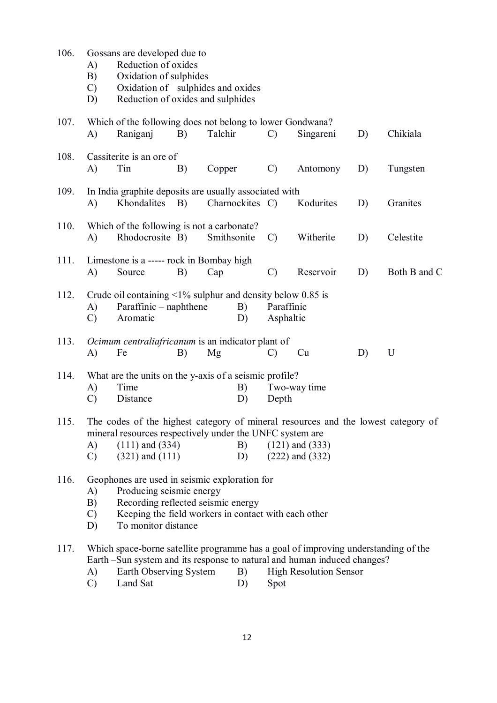| 106. | A)<br>B)<br>$\mathcal{C}$<br>D)                                                                                                                                                                                                                                              | Gossans are developed due to<br>Reduction of oxides<br>Oxidation of sulphides<br>Oxidation of sulphides and oxides<br>Reduction of oxides and sulphides                                              |    |         |                 |                         |                               |    |              |
|------|------------------------------------------------------------------------------------------------------------------------------------------------------------------------------------------------------------------------------------------------------------------------------|------------------------------------------------------------------------------------------------------------------------------------------------------------------------------------------------------|----|---------|-----------------|-------------------------|-------------------------------|----|--------------|
| 107. | A)                                                                                                                                                                                                                                                                           | Which of the following does not belong to lower Gondwana?<br>Raniganj                                                                                                                                | B) | Talchir |                 | $\mathcal{C}$           | Singareni                     | D) | Chikiala     |
| 108. | A)                                                                                                                                                                                                                                                                           | Cassiterite is an ore of<br>Tin                                                                                                                                                                      | B) | Copper  |                 | $\mathcal{C}$           | Antomony                      | D) | Tungsten     |
| 109. | A)                                                                                                                                                                                                                                                                           | In India graphite deposits are usually associated with<br>Khondalites                                                                                                                                | B) |         | Charnockites C) |                         | Kodurites                     | D) | Granites     |
| 110. | A)                                                                                                                                                                                                                                                                           | Which of the following is not a carbonate?<br>Rhodocrosite B)<br>Smithsonite                                                                                                                         |    |         |                 | $\mathcal{C}$           | Witherite                     | D) | Celestite    |
| 111. | A)                                                                                                                                                                                                                                                                           | Limestone is a ----- rock in Bombay high<br>Source                                                                                                                                                   | B) | Cap     |                 | $\mathcal{C}$           | Reservoir                     | D) | Both B and C |
| 112. | A)<br>$\mathcal{C}$                                                                                                                                                                                                                                                          | Crude oil containing $\leq 1\%$ sulphur and density below 0.85 is<br>Paraffinic – naphthene<br>Aromatic                                                                                              |    |         | B)<br>D)        | Paraffinic<br>Asphaltic |                               |    |              |
| 113. | A)                                                                                                                                                                                                                                                                           | Ocimum centraliafricanum is an indicator plant of<br>Fe                                                                                                                                              | B) | Mg      |                 | $\mathcal{C}$           | Cu                            | D) | U            |
| 114. | A)<br>$\mathcal{C}$                                                                                                                                                                                                                                                          | What are the units on the y-axis of a seismic profile?<br>Time<br>Distance                                                                                                                           |    |         | B)<br>D)        | Depth                   | Two-way time                  |    |              |
| 115. | The codes of the highest category of mineral resources and the lowest category of<br>mineral resources respectively under the UNFC system are<br>$(111)$ and $(334)$<br>A)<br>B)<br>$(121)$ and $(333)$<br>$(321)$ and $(111)$<br>$(222)$ and $(332)$<br>D)<br>$\mathcal{C}$ |                                                                                                                                                                                                      |    |         |                 |                         |                               |    |              |
| 116. | Geophones are used in seismic exploration for<br>Producing seismic energy<br>A)<br>Recording reflected seismic energy<br>B)<br>Keeping the field workers in contact with each other<br>$\mathcal{C}$<br>To monitor distance<br>D)                                            |                                                                                                                                                                                                      |    |         |                 |                         |                               |    |              |
| 117. | A)<br>$\cap$                                                                                                                                                                                                                                                                 | Which space-borne satellite programme has a goal of improving understanding of the<br>Earth -Sun system and its response to natural and human induced changes?<br>Earth Observing System<br>Land Sat |    |         | B)<br>D)        | Snot                    | <b>High Resolution Sensor</b> |    |              |

C) Land Sat D) Spot